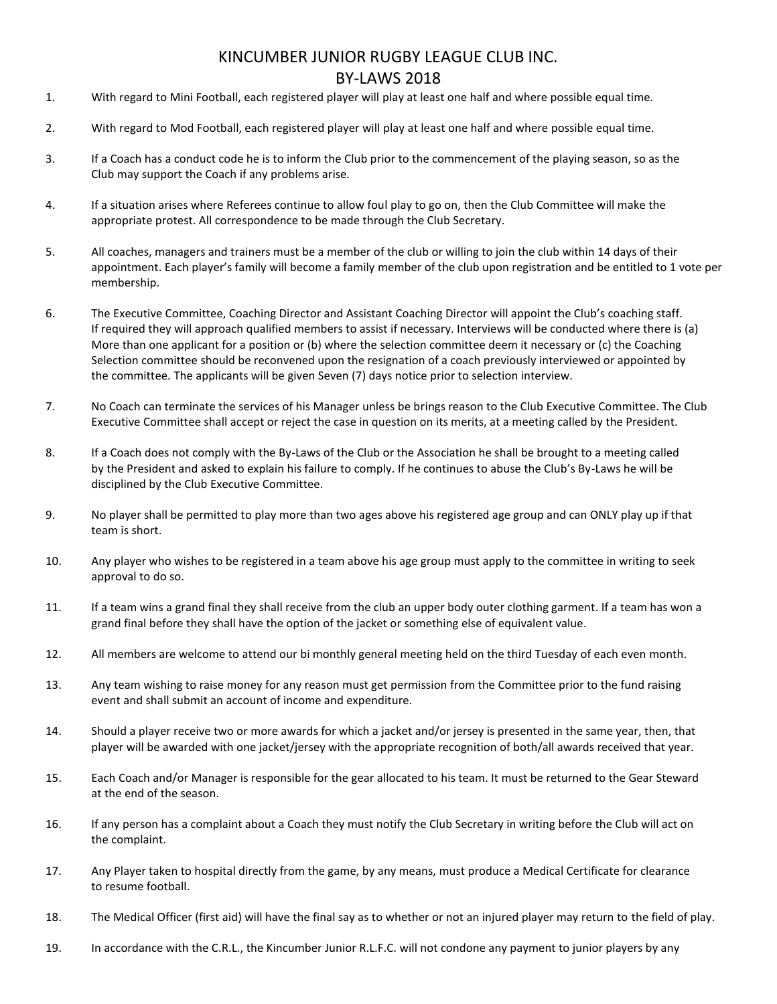## KINCUMBER JUNIOR RUGBY LEAGUE CLUB INC. BY-LAWS 2018

- 1. With regard to Mini Football, each registered player will play at least one half and where possible equal time.
- 2. With regard to Mod Football, each registered player will play at least one half and where possible equal time.
- 3. If a Coach has a conduct code he is to inform the Club prior to the commencement of the playing season, so as the Club may support the Coach if any problems arise.
- 4. If a situation arises where Referees continue to allow foul play to go on, then the Club Committee will make the appropriate protest. All correspondence to be made through the Club Secretary.
- 5. All coaches, managers and trainers must be a member of the club or willing to join the club within 14 days of their appointment. Each player's family will become a family member of the club upon registration and be entitled to 1 vote per membership.
- 6. The Executive Committee, Coaching Director and Assistant Coaching Director will appoint the Club's coaching staff. If required they will approach qualified members to assist if necessary. Interviews will be conducted where there is (a) More than one applicant for a position or (b) where the selection committee deem it necessary or (c) the Coaching Selection committee should be reconvened upon the resignation of a coach previously interviewed or appointed by the committee. The applicants will be given Seven (7) days notice prior to selection interview.
- 7. No Coach can terminate the services of his Manager unless be brings reason to the Club Executive Committee. The Club Executive Committee shall accept or reject the case in question on its merits, at a meeting called by the President.
- 8. If a Coach does not comply with the By-Laws of the Club or the Association he shall be brought to a meeting called by the President and asked to explain his failure to comply. If he continues to abuse the Club's By-Laws he will be disciplined by the Club Executive Committee.
- 9. No player shall be permitted to play more than two ages above his registered age group and can ONLY play up if that team is short.
- 10. Any player who wishes to be registered in a team above his age group must apply to the committee in writing to seek approval to do so.
- 11. If a team wins a grand final they shall receive from the club an upper body outer clothing garment. If a team has won a grand final before they shall have the option of the jacket or something else of equivalent value.
- 12. All members are welcome to attend our bi monthly general meeting held on the third Tuesday of each even month.
- 13. Any team wishing to raise money for any reason must get permission from the Committee prior to the fund raising event and shall submit an account of income and expenditure.
- 14. Should a player receive two or more awards for which a jacket and/or jersey is presented in the same year, then, that player will be awarded with one jacket/jersey with the appropriate recognition of both/all awards received that year.
- 15. Each Coach and/or Manager is responsible for the gear allocated to his team. It must be returned to the Gear Steward at the end of the season.
- 16. If any person has a complaint about a Coach they must notify the Club Secretary in writing before the Club will act on the complaint.
- 17. Any Player taken to hospital directly from the game, by any means, must produce a Medical Certificate for clearance to resume football.
- 18. The Medical Officer (first aid) will have the final say as to whether or not an injured player may return to the field of play.
- 19. In accordance with the C.R.L., the Kincumber Junior R.L.F.C. will not condone any payment to junior players by any